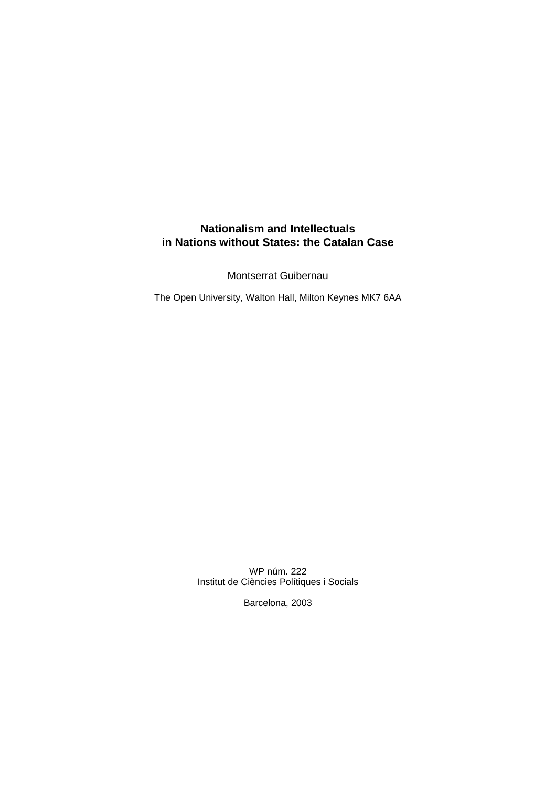# **Nationalism and Intellectuals in Nations without States: the Catalan Case**

Montserrat Guibernau

The Open University, Walton Hall, Milton Keynes MK7 6AA

WP núm. 222 Institut de Ciències Polítiques i Socials

Barcelona, 2003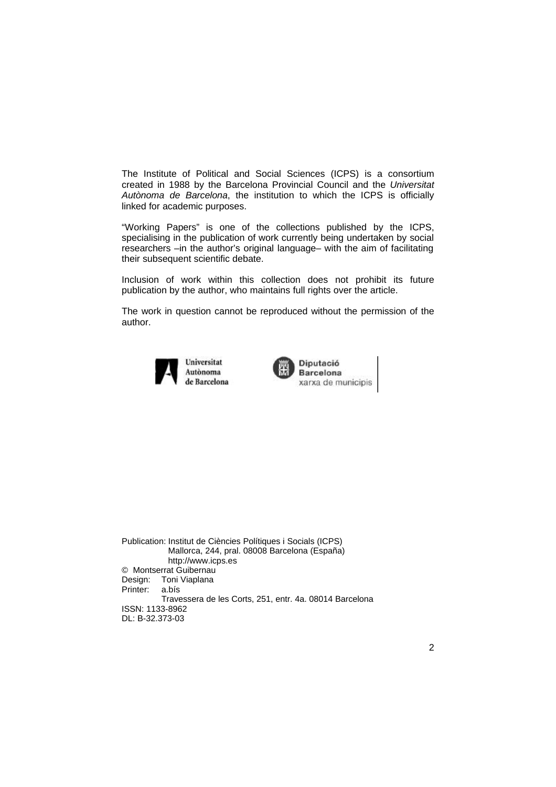The Institute of Political and Social Sciences (ICPS) is a consortium created in 1988 by the Barcelona Provincial Council and the *Universitat Autònoma de Barcelona*, the institution to which the ICPS is officially linked for academic purposes.

"Working Papers" is one of the collections published by the ICPS, specialising in the publication of work currently being undertaken by social researchers –in the author's original language– with the aim of facilitating their subsequent scientific debate.

Inclusion of work within this collection does not prohibit its future publication by the author, who maintains full rights over the article.

The work in question cannot be reproduced without the permission of the author.





Publication: Institut de Ciències Polítiques i Socials (ICPS) Mallorca, 244, pral. 08008 Barcelona (España) http://www.icps.es © Montserrat Guibernau Design: Toni Viaplana Printer: a.bís Travessera de les Corts, 251, entr. 4a. 08014 Barcelona ISSN: 1133-8962 DL: B-32.373-03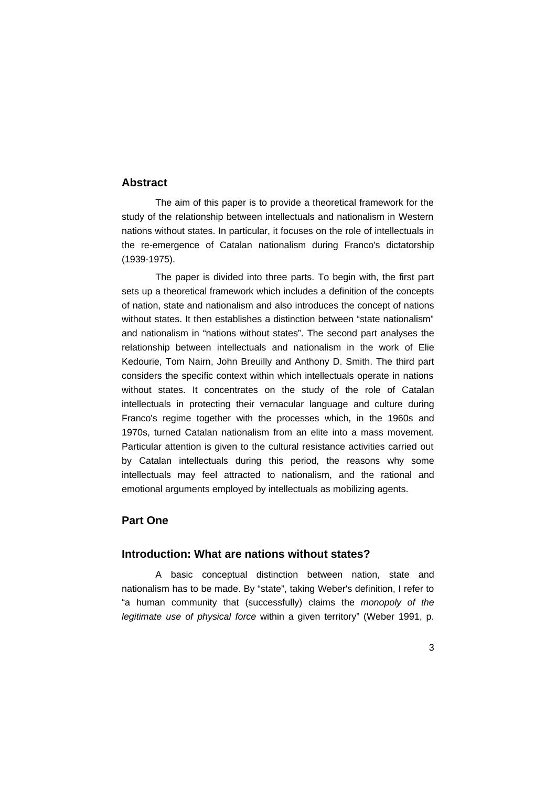# **Abstract**

The aim of this paper is to provide a theoretical framework for the study of the relationship between intellectuals and nationalism in Western nations without states. In particular, it focuses on the role of intellectuals in the re-emergence of Catalan nationalism during Franco's dictatorship (1939-1975).

The paper is divided into three parts. To begin with, the first part sets up a theoretical framework which includes a definition of the concepts of nation, state and nationalism and also introduces the concept of nations without states. It then establishes a distinction between "state nationalism" and nationalism in "nations without states". The second part analyses the relationship between intellectuals and nationalism in the work of Elie Kedourie, Tom Nairn, John Breuilly and Anthony D. Smith. The third part considers the specific context within which intellectuals operate in nations without states. It concentrates on the study of the role of Catalan intellectuals in protecting their vernacular language and culture during Franco's regime together with the processes which, in the 1960s and 1970s, turned Catalan nationalism from an elite into a mass movement. Particular attention is given to the cultural resistance activities carried out by Catalan intellectuals during this period, the reasons why some intellectuals may feel attracted to nationalism, and the rational and emotional arguments employed by intellectuals as mobilizing agents.

# **Part One**

# **Introduction: What are nations without states?**

A basic conceptual distinction between nation, state and nationalism has to be made. By "state", taking Weber's definition, I refer to "a human community that (successfully) claims the *monopoly of the legitimate use of physical force* within a given territory" (Weber 1991, p.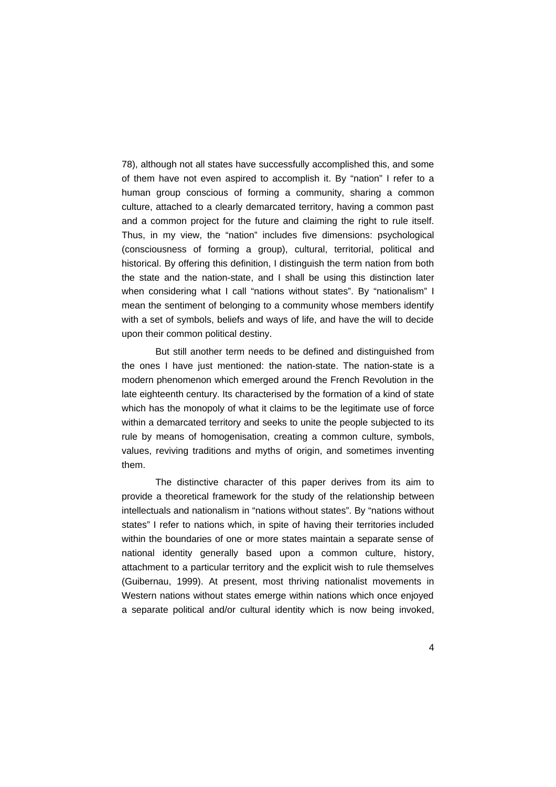78), although not all states have successfully accomplished this, and some of them have not even aspired to accomplish it. By "nation" I refer to a human group conscious of forming a community, sharing a common culture, attached to a clearly demarcated territory, having a common past and a common project for the future and claiming the right to rule itself. Thus, in my view, the "nation" includes five dimensions: psychological (consciousness of forming a group), cultural, territorial, political and historical. By offering this definition, I distinguish the term nation from both the state and the nation-state, and I shall be using this distinction later when considering what I call "nations without states". By "nationalism" I mean the sentiment of belonging to a community whose members identify with a set of symbols, beliefs and ways of life, and have the will to decide upon their common political destiny.

But still another term needs to be defined and distinguished from the ones I have just mentioned: the nation-state. The nation-state is a modern phenomenon which emerged around the French Revolution in the late eighteenth century. Its characterised by the formation of a kind of state which has the monopoly of what it claims to be the legitimate use of force within a demarcated territory and seeks to unite the people subjected to its rule by means of homogenisation, creating a common culture, symbols, values, reviving traditions and myths of origin, and sometimes inventing them.

The distinctive character of this paper derives from its aim to provide a theoretical framework for the study of the relationship between intellectuals and nationalism in "nations without states". By "nations without states" I refer to nations which, in spite of having their territories included within the boundaries of one or more states maintain a separate sense of national identity generally based upon a common culture, history, attachment to a particular territory and the explicit wish to rule themselves (Guibernau, 1999). At present, most thriving nationalist movements in Western nations without states emerge within nations which once enjoyed a separate political and/or cultural identity which is now being invoked,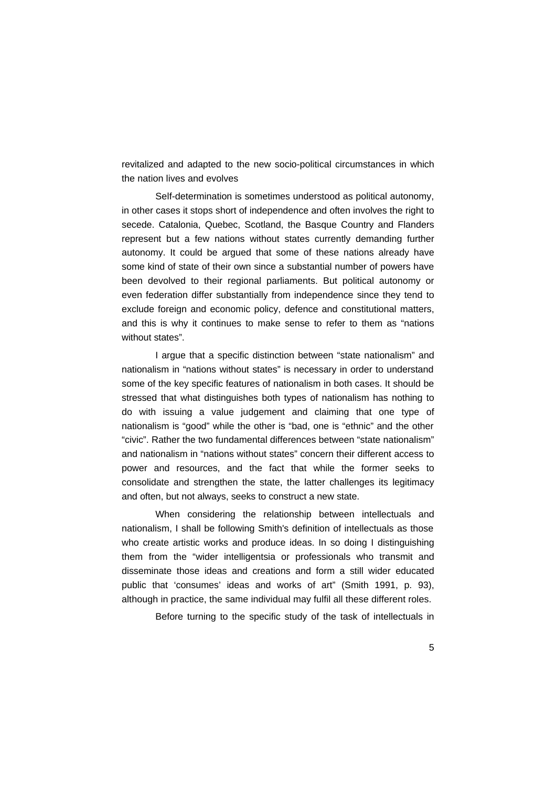revitalized and adapted to the new socio-political circumstances in which the nation lives and evolves

Self-determination is sometimes understood as political autonomy, in other cases it stops short of independence and often involves the right to secede. Catalonia, Quebec, Scotland, the Basque Country and Flanders represent but a few nations without states currently demanding further autonomy. It could be argued that some of these nations already have some kind of state of their own since a substantial number of powers have been devolved to their regional parliaments. But political autonomy or even federation differ substantially from independence since they tend to exclude foreign and economic policy, defence and constitutional matters, and this is why it continues to make sense to refer to them as "nations without states"

I argue that a specific distinction between "state nationalism" and nationalism in "nations without states" is necessary in order to understand some of the key specific features of nationalism in both cases. It should be stressed that what distinguishes both types of nationalism has nothing to do with issuing a value judgement and claiming that one type of nationalism is "good" while the other is "bad, one is "ethnic" and the other "civic". Rather the two fundamental differences between "state nationalism" and nationalism in "nations without states" concern their different access to power and resources, and the fact that while the former seeks to consolidate and strengthen the state, the latter challenges its legitimacy and often, but not always, seeks to construct a new state.

When considering the relationship between intellectuals and nationalism, I shall be following Smith's definition of intellectuals as those who create artistic works and produce ideas. In so doing I distinguishing them from the "wider intelligentsia or professionals who transmit and disseminate those ideas and creations and form a still wider educated public that 'consumes' ideas and works of art" (Smith 1991, p. 93), although in practice, the same individual may fulfil all these different roles.

Before turning to the specific study of the task of intellectuals in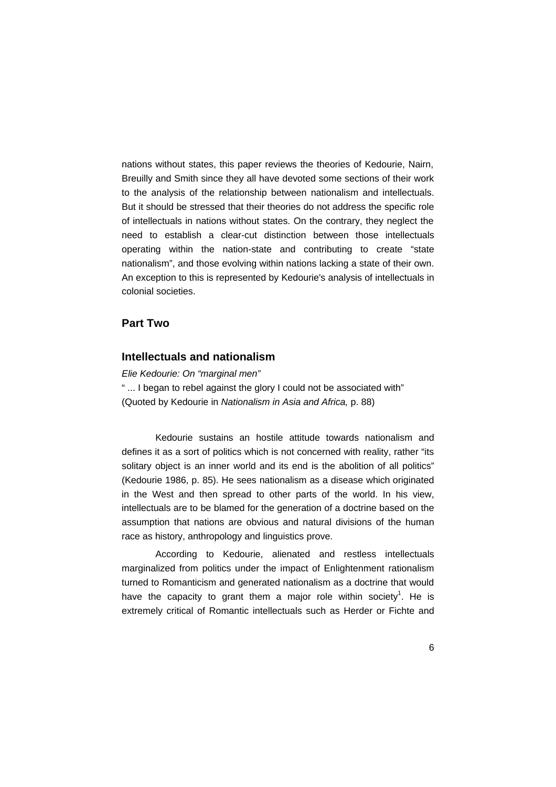nations without states, this paper reviews the theories of Kedourie, Nairn, Breuilly and Smith since they all have devoted some sections of their work to the analysis of the relationship between nationalism and intellectuals. But it should be stressed that their theories do not address the specific role of intellectuals in nations without states. On the contrary, they neglect the need to establish a clear-cut distinction between those intellectuals operating within the nation-state and contributing to create "state nationalism", and those evolving within nations lacking a state of their own. An exception to this is represented by Kedourie's analysis of intellectuals in colonial societies.

# **Part Two**

### **Intellectuals and nationalism**

*Elie Kedourie: On "marginal men"*

" ... I began to rebel against the glory I could not be associated with" (Quoted by Kedourie in *Nationalism in Asia and Africa,* p. 88)

Kedourie sustains an hostile attitude towards nationalism and defines it as a sort of politics which is not concerned with reality, rather "its solitary object is an inner world and its end is the abolition of all politics" (Kedourie 1986, p. 85). He sees nationalism as a disease which originated in the West and then spread to other parts of the world. In his view, intellectuals are to be blamed for the generation of a doctrine based on the assumption that nations are obvious and natural divisions of the human race as history, anthropology and linguistics prove.

According to Kedourie, alienated and restless intellectuals marginalized from politics under the impact of Enlightenment rationalism turned to Romanticism and generated nationalism as a doctrine that would have the capacity to grant them a major role within society<sup>1</sup>. He is extremely critical of Romantic intellectuals such as Herder or Fichte and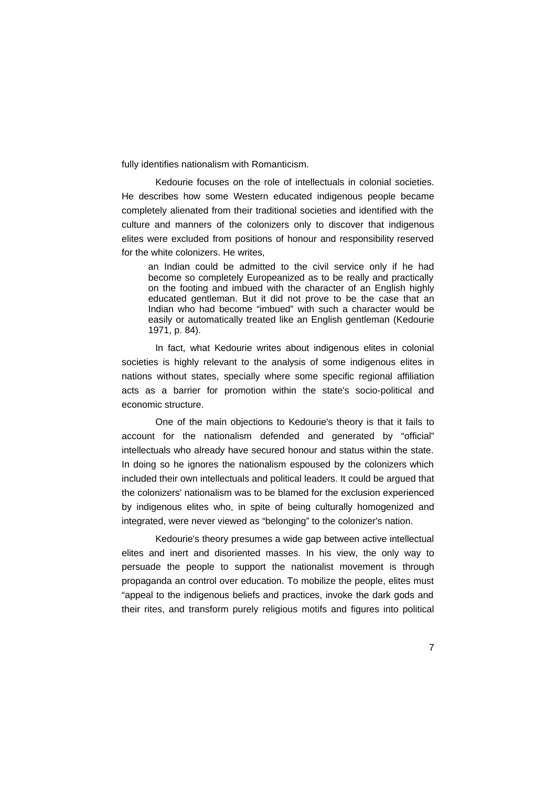fully identifies nationalism with Romanticism.

Kedourie focuses on the role of intellectuals in colonial societies. He describes how some Western educated indigenous people became completely alienated from their traditional societies and identified with the culture and manners of the colonizers only to discover that indigenous elites were excluded from positions of honour and responsibility reserved for the white colonizers. He writes

an Indian could be admitted to the civil service only if he had become so completely Europeanized as to be really and practically on the footing and imbued with the character of an English highly educated gentleman. But it did not prove to be the case that an Indian who had become "imbued" with such a character would be easily or automatically treated like an English gentleman (Kedourie 1971, p. 84).

In fact, what Kedourie writes about indigenous elites in colonial societies is highly relevant to the analysis of some indigenous elites in nations without states, specially where some specific regional affiliation acts as a barrier for promotion within the state's socio-political and economic structure.

One of the main objections to Kedourie's theory is that it fails to account for the nationalism defended and generated by "official" intellectuals who already have secured honour and status within the state. In doing so he ignores the nationalism espoused by the colonizers which included their own intellectuals and political leaders. It could be argued that the colonizers' nationalism was to be blamed for the exclusion experienced by indigenous elites who, in spite of being culturally homogenized and integrated, were never viewed as "belonging" to the colonizer's nation.

Kedourie's theory presumes a wide gap between active intellectual elites and inert and disoriented masses. In his view, the only way to persuade the people to support the nationalist movement is through propaganda an control over education. To mobilize the people, elites must "appeal to the indigenous beliefs and practices, invoke the dark gods and their rites, and transform purely religious motifs and figures into political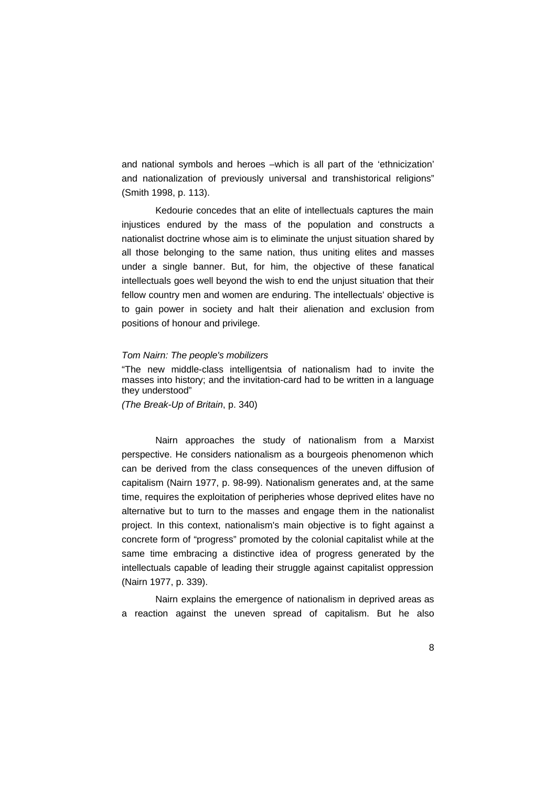and national symbols and heroes –which is all part of the 'ethnicization' and nationalization of previously universal and transhistorical religions" (Smith 1998, p. 113).

Kedourie concedes that an elite of intellectuals captures the main injustices endured by the mass of the population and constructs a nationalist doctrine whose aim is to eliminate the unjust situation shared by all those belonging to the same nation, thus uniting elites and masses under a single banner. But, for him, the objective of these fanatical intellectuals goes well beyond the wish to end the unjust situation that their fellow country men and women are enduring. The intellectuals' objective is to gain power in society and halt their alienation and exclusion from positions of honour and privilege.

#### *Tom Nairn: The people's mobilizers*

"The new middle-class intelligentsia of nationalism had to invite the masses into history; and the invitation-card had to be written in a language they understood"

*(The Break-Up of Britain*, p. 340)

Nairn approaches the study of nationalism from a Marxist perspective. He considers nationalism as a bourgeois phenomenon which can be derived from the class consequences of the uneven diffusion of capitalism (Nairn 1977, p. 98-99). Nationalism generates and, at the same time, requires the exploitation of peripheries whose deprived elites have no alternative but to turn to the masses and engage them in the nationalist project. In this context, nationalism's main objective is to fight against a concrete form of "progress" promoted by the colonial capitalist while at the same time embracing a distinctive idea of progress generated by the intellectuals capable of leading their struggle against capitalist oppression (Nairn 1977, p. 339).

Nairn explains the emergence of nationalism in deprived areas as a reaction against the uneven spread of capitalism. But he also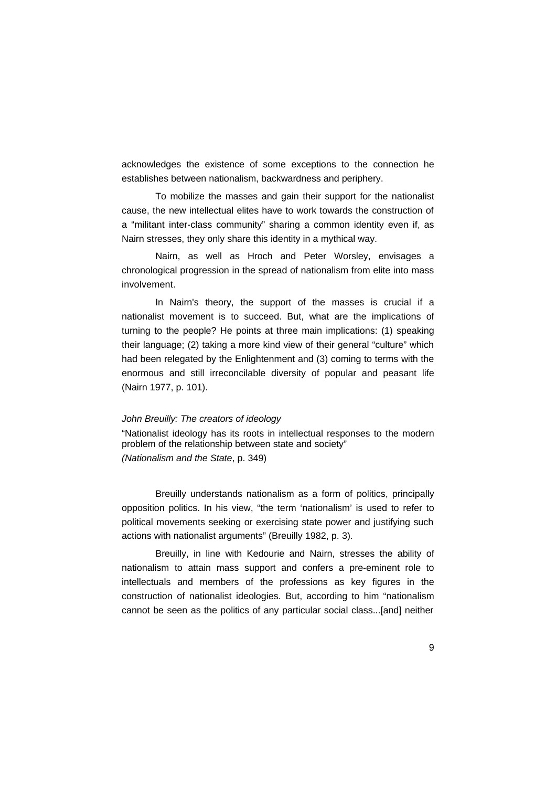acknowledges the existence of some exceptions to the connection he establishes between nationalism, backwardness and periphery.

To mobilize the masses and gain their support for the nationalist cause, the new intellectual elites have to work towards the construction of a "militant inter-class community" sharing a common identity even if, as Nairn stresses, they only share this identity in a mythical way.

Nairn, as well as Hroch and Peter Worsley, envisages a chronological progression in the spread of nationalism from elite into mass involvement.

In Nairn's theory, the support of the masses is crucial if a nationalist movement is to succeed. But, what are the implications of turning to the people? He points at three main implications: (1) speaking their language; (2) taking a more kind view of their general "culture" which had been relegated by the Enlightenment and (3) coming to terms with the enormous and still irreconcilable diversity of popular and peasant life (Nairn 1977, p. 101).

#### *John Breuilly: The creators of ideology*

"Nationalist ideology has its roots in intellectual responses to the modern problem of the relationship between state and society" *(Nationalism and the State*, p. 349)

Breuilly understands nationalism as a form of politics, principally opposition politics. In his view, "the term 'nationalism' is used to refer to political movements seeking or exercising state power and justifying such actions with nationalist arguments" (Breuilly 1982, p. 3).

Breuilly, in line with Kedourie and Nairn, stresses the ability of nationalism to attain mass support and confers a pre-eminent role to intellectuals and members of the professions as key figures in the construction of nationalist ideologies. But, according to him "nationalism cannot be seen as the politics of any particular social class...[and] neither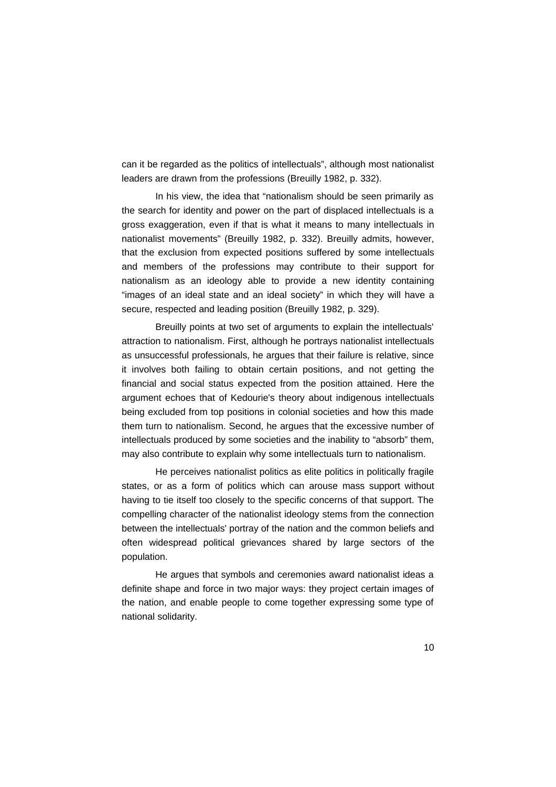can it be regarded as the politics of intellectuals", although most nationalist leaders are drawn from the professions (Breuilly 1982, p. 332).

In his view, the idea that "nationalism should be seen primarily as the search for identity and power on the part of displaced intellectuals is a gross exaggeration, even if that is what it means to many intellectuals in nationalist movements" (Breuilly 1982, p. 332). Breuilly admits, however, that the exclusion from expected positions suffered by some intellectuals and members of the professions may contribute to their support for nationalism as an ideology able to provide a new identity containing "images of an ideal state and an ideal society" in which they will have a secure, respected and leading position (Breuilly 1982, p. 329).

Breuilly points at two set of arguments to explain the intellectuals' attraction to nationalism. First, although he portrays nationalist intellectuals as unsuccessful professionals, he argues that their failure is relative, since it involves both failing to obtain certain positions, and not getting the financial and social status expected from the position attained. Here the argument echoes that of Kedourie's theory about indigenous intellectuals being excluded from top positions in colonial societies and how this made them turn to nationalism. Second, he argues that the excessive number of intellectuals produced by some societies and the inability to "absorb" them, may also contribute to explain why some intellectuals turn to nationalism.

He perceives nationalist politics as elite politics in politically fragile states, or as a form of politics which can arouse mass support without having to tie itself too closely to the specific concerns of that support. The compelling character of the nationalist ideology stems from the connection between the intellectuals' portray of the nation and the common beliefs and often widespread political grievances shared by large sectors of the population.

He argues that symbols and ceremonies award nationalist ideas a definite shape and force in two major ways: they project certain images of the nation, and enable people to come together expressing some type of national solidarity.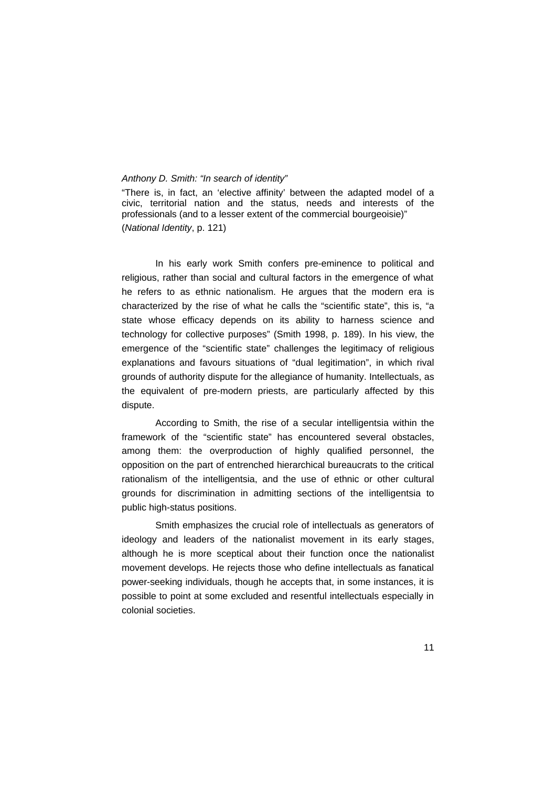#### *Anthony D. Smith: "In search of identity"*

"There is, in fact, an 'elective affinity' between the adapted model of a civic, territorial nation and the status, needs and interests of the professionals (and to a lesser extent of the commercial bourgeoisie)" (*National Identity*, p. 121)

In his early work Smith confers pre-eminence to political and religious, rather than social and cultural factors in the emergence of what he refers to as ethnic nationalism. He argues that the modern era is characterized by the rise of what he calls the "scientific state", this is, "a state whose efficacy depends on its ability to harness science and technology for collective purposes" (Smith 1998, p. 189). In his view, the emergence of the "scientific state" challenges the legitimacy of religious explanations and favours situations of "dual legitimation", in which rival grounds of authority dispute for the allegiance of humanity. Intellectuals, as the equivalent of pre-modern priests, are particularly affected by this dispute.

According to Smith, the rise of a secular intelligentsia within the framework of the "scientific state" has encountered several obstacles, among them: the overproduction of highly qualified personnel, the opposition on the part of entrenched hierarchical bureaucrats to the critical rationalism of the intelligentsia, and the use of ethnic or other cultural grounds for discrimination in admitting sections of the intelligentsia to public high-status positions.

Smith emphasizes the crucial role of intellectuals as generators of ideology and leaders of the nationalist movement in its early stages, although he is more sceptical about their function once the nationalist movement develops. He rejects those who define intellectuals as fanatical power-seeking individuals, though he accepts that, in some instances, it is possible to point at some excluded and resentful intellectuals especially in colonial societies.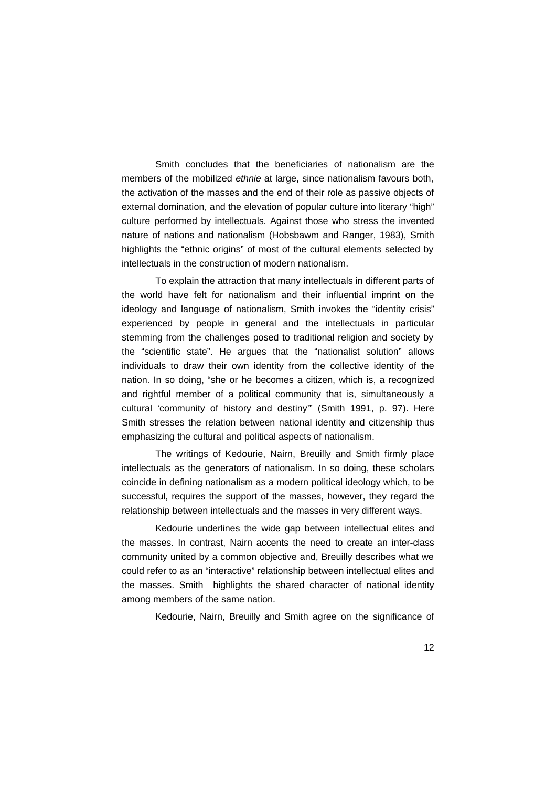Smith concludes that the beneficiaries of nationalism are the members of the mobilized *ethnie* at large, since nationalism favours both, the activation of the masses and the end of their role as passive objects of external domination, and the elevation of popular culture into literary "high" culture performed by intellectuals. Against those who stress the invented nature of nations and nationalism (Hobsbawm and Ranger, 1983), Smith highlights the "ethnic origins" of most of the cultural elements selected by intellectuals in the construction of modern nationalism.

To explain the attraction that many intellectuals in different parts of the world have felt for nationalism and their influential imprint on the ideology and language of nationalism, Smith invokes the "identity crisis" experienced by people in general and the intellectuals in particular stemming from the challenges posed to traditional religion and society by the "scientific state". He argues that the "nationalist solution" allows individuals to draw their own identity from the collective identity of the nation. In so doing, "she or he becomes a citizen, which is, a recognized and rightful member of a political community that is, simultaneously a cultural 'community of history and destiny'" (Smith 1991, p. 97). Here Smith stresses the relation between national identity and citizenship thus emphasizing the cultural and political aspects of nationalism.

The writings of Kedourie, Nairn, Breuilly and Smith firmly place intellectuals as the generators of nationalism. In so doing, these scholars coincide in defining nationalism as a modern political ideology which, to be successful, requires the support of the masses, however, they regard the relationship between intellectuals and the masses in very different ways.

Kedourie underlines the wide gap between intellectual elites and the masses. In contrast, Nairn accents the need to create an inter-class community united by a common objective and, Breuilly describes what we could refer to as an "interactive" relationship between intellectual elites and the masses. Smith highlights the shared character of national identity among members of the same nation.

Kedourie, Nairn, Breuilly and Smith agree on the significance of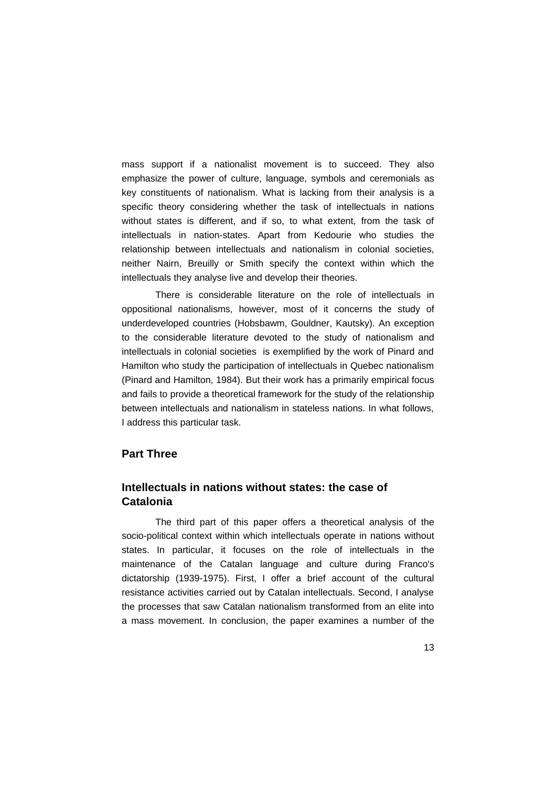mass support if a nationalist movement is to succeed. They also emphasize the power of culture, language, symbols and ceremonials as key constituents of nationalism. What is lacking from their analysis is a specific theory considering whether the task of intellectuals in nations without states is different, and if so, to what extent, from the task of intellectuals in nation-states. Apart from Kedourie who studies the relationship between intellectuals and nationalism in colonial societies, neither Nairn, Breuilly or Smith specify the context within which the intellectuals they analyse live and develop their theories.

There is considerable literature on the role of intellectuals in oppositional nationalisms, however, most of it concerns the study of underdeveloped countries (Hobsbawm, Gouldner, Kautsky). An exception to the considerable literature devoted to the study of nationalism and intellectuals in colonial societies is exemplified by the work of Pinard and Hamilton who study the participation of intellectuals in Quebec nationalism (Pinard and Hamilton, 1984). But their work has a primarily empirical focus and fails to provide a theoretical framework for the study of the relationship between intellectuals and nationalism in stateless nations. In what follows, I address this particular task.

# **Part Three**

# **Intellectuals in nations without states: the case of Catalonia**

The third part of this paper offers a theoretical analysis of the socio-political context within which intellectuals operate in nations without states. In particular, it focuses on the role of intellectuals in the maintenance of the Catalan language and culture during Franco's dictatorship (1939-1975). First, I offer a brief account of the cultural resistance activities carried out by Catalan intellectuals. Second, I analyse the processes that saw Catalan nationalism transformed from an elite into a mass movement. In conclusion, the paper examines a number of the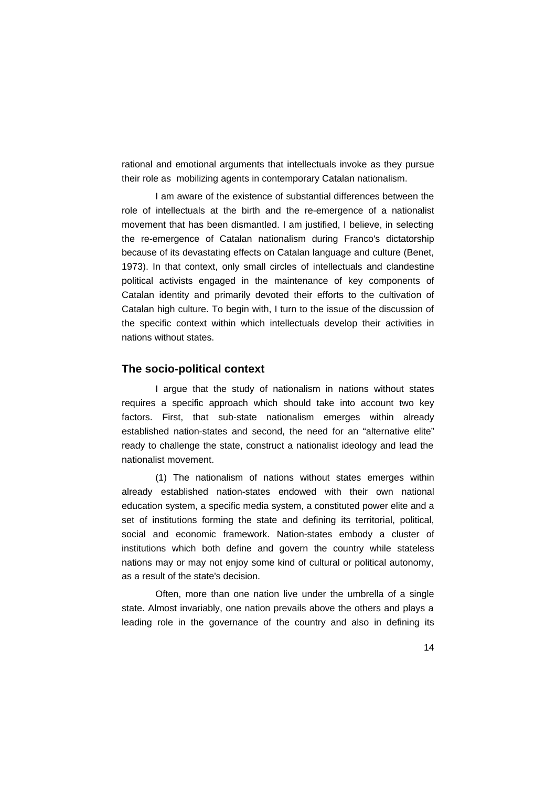rational and emotional arguments that intellectuals invoke as they pursue their role as mobilizing agents in contemporary Catalan nationalism.

I am aware of the existence of substantial differences between the role of intellectuals at the birth and the re-emergence of a nationalist movement that has been dismantled. I am justified, I believe, in selecting the re-emergence of Catalan nationalism during Franco's dictatorship because of its devastating effects on Catalan language and culture (Benet, 1973). In that context, only small circles of intellectuals and clandestine political activists engaged in the maintenance of key components of Catalan identity and primarily devoted their efforts to the cultivation of Catalan high culture. To begin with, I turn to the issue of the discussion of the specific context within which intellectuals develop their activities in nations without states.

### **The socio-political context**

I argue that the study of nationalism in nations without states requires a specific approach which should take into account two key factors. First, that sub-state nationalism emerges within already established nation-states and second, the need for an "alternative elite" ready to challenge the state, construct a nationalist ideology and lead the nationalist movement.

(1) The nationalism of nations without states emerges within already established nation-states endowed with their own national education system, a specific media system, a constituted power elite and a set of institutions forming the state and defining its territorial, political, social and economic framework. Nation-states embody a cluster of institutions which both define and govern the country while stateless nations may or may not enjoy some kind of cultural or political autonomy, as a result of the state's decision.

Often, more than one nation live under the umbrella of a single state. Almost invariably, one nation prevails above the others and plays a leading role in the governance of the country and also in defining its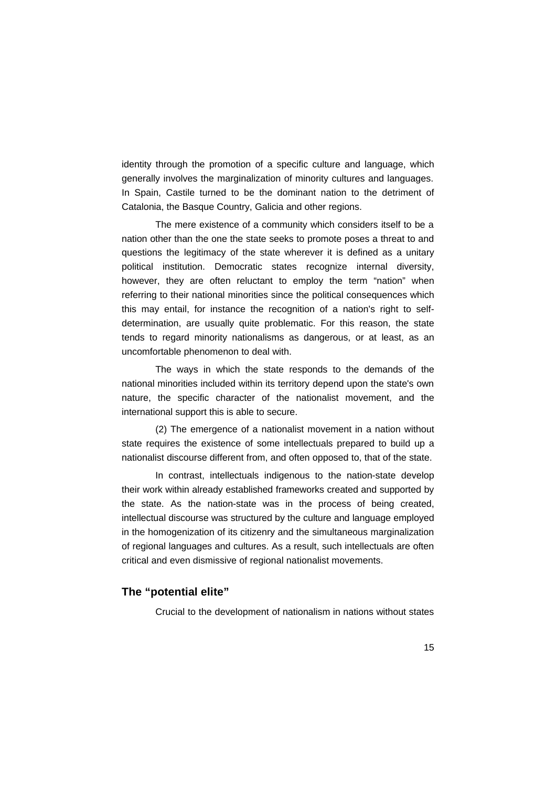identity through the promotion of a specific culture and language, which generally involves the marginalization of minority cultures and languages. In Spain, Castile turned to be the dominant nation to the detriment of Catalonia, the Basque Country, Galicia and other regions.

The mere existence of a community which considers itself to be a nation other than the one the state seeks to promote poses a threat to and questions the legitimacy of the state wherever it is defined as a unitary political institution. Democratic states recognize internal diversity, however, they are often reluctant to employ the term "nation" when referring to their national minorities since the political consequences which this may entail, for instance the recognition of a nation's right to selfdetermination, are usually quite problematic. For this reason, the state tends to regard minority nationalisms as dangerous, or at least, as an uncomfortable phenomenon to deal with.

The ways in which the state responds to the demands of the national minorities included within its territory depend upon the state's own nature, the specific character of the nationalist movement, and the international support this is able to secure.

(2) The emergence of a nationalist movement in a nation without state requires the existence of some intellectuals prepared to build up a nationalist discourse different from, and often opposed to, that of the state.

In contrast, intellectuals indigenous to the nation-state develop their work within already established frameworks created and supported by the state. As the nation-state was in the process of being created, intellectual discourse was structured by the culture and language employed in the homogenization of its citizenry and the simultaneous marginalization of regional languages and cultures. As a result, such intellectuals are often critical and even dismissive of regional nationalist movements.

# **The "potential elite"**

Crucial to the development of nationalism in nations without states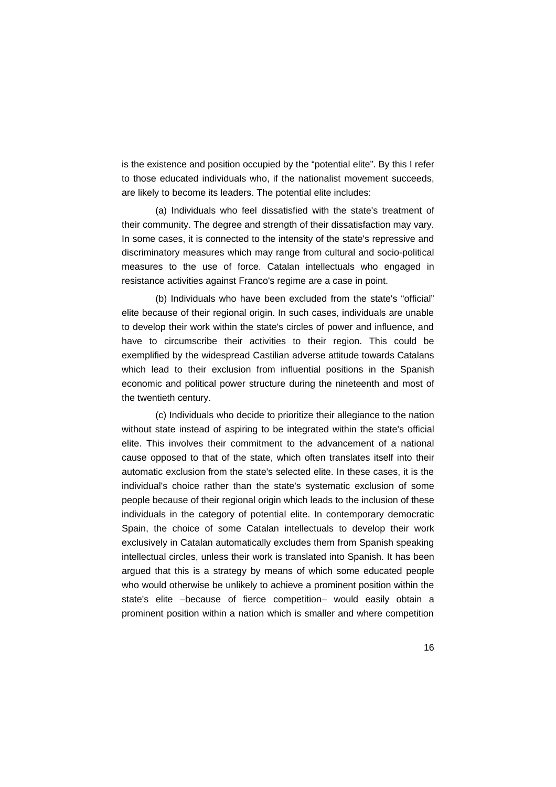is the existence and position occupied by the "potential elite". By this I refer to those educated individuals who, if the nationalist movement succeeds, are likely to become its leaders. The potential elite includes:

(a) Individuals who feel dissatisfied with the state's treatment of their community. The degree and strength of their dissatisfaction may vary. In some cases, it is connected to the intensity of the state's repressive and discriminatory measures which may range from cultural and socio-political measures to the use of force. Catalan intellectuals who engaged in resistance activities against Franco's regime are a case in point.

(b) Individuals who have been excluded from the state's "official" elite because of their regional origin. In such cases, individuals are unable to develop their work within the state's circles of power and influence, and have to circumscribe their activities to their region. This could be exemplified by the widespread Castilian adverse attitude towards Catalans which lead to their exclusion from influential positions in the Spanish economic and political power structure during the nineteenth and most of the twentieth century.

(c) Individuals who decide to prioritize their allegiance to the nation without state instead of aspiring to be integrated within the state's official elite. This involves their commitment to the advancement of a national cause opposed to that of the state, which often translates itself into their automatic exclusion from the state's selected elite. In these cases, it is the individual's choice rather than the state's systematic exclusion of some people because of their regional origin which leads to the inclusion of these individuals in the category of potential elite. In contemporary democratic Spain, the choice of some Catalan intellectuals to develop their work exclusively in Catalan automatically excludes them from Spanish speaking intellectual circles, unless their work is translated into Spanish. It has been argued that this is a strategy by means of which some educated people who would otherwise be unlikely to achieve a prominent position within the state's elite –because of fierce competition– would easily obtain a prominent position within a nation which is smaller and where competition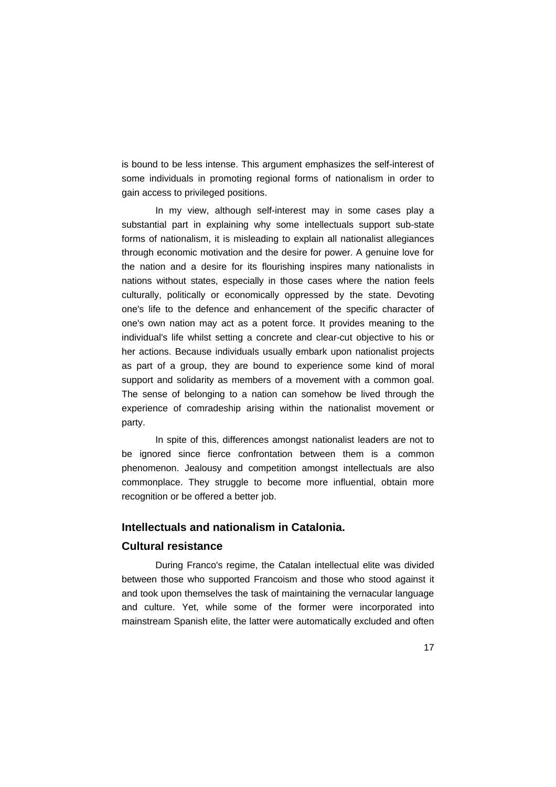is bound to be less intense. This argument emphasizes the self-interest of some individuals in promoting regional forms of nationalism in order to gain access to privileged positions.

In my view, although self-interest may in some cases play a substantial part in explaining why some intellectuals support sub-state forms of nationalism, it is misleading to explain all nationalist allegiances through economic motivation and the desire for power. A genuine love for the nation and a desire for its flourishing inspires many nationalists in nations without states, especially in those cases where the nation feels culturally, politically or economically oppressed by the state. Devoting one's life to the defence and enhancement of the specific character of one's own nation may act as a potent force. It provides meaning to the individual's life whilst setting a concrete and clear-cut objective to his or her actions. Because individuals usually embark upon nationalist projects as part of a group, they are bound to experience some kind of moral support and solidarity as members of a movement with a common goal. The sense of belonging to a nation can somehow be lived through the experience of comradeship arising within the nationalist movement or party.

In spite of this, differences amongst nationalist leaders are not to be ignored since fierce confrontation between them is a common phenomenon. Jealousy and competition amongst intellectuals are also commonplace. They struggle to become more influential, obtain more recognition or be offered a better job.

# **Intellectuals and nationalism in Catalonia.**

# **Cultural resistance**

During Franco's regime, the Catalan intellectual elite was divided between those who supported Francoism and those who stood against it and took upon themselves the task of maintaining the vernacular language and culture. Yet, while some of the former were incorporated into mainstream Spanish elite, the latter were automatically excluded and often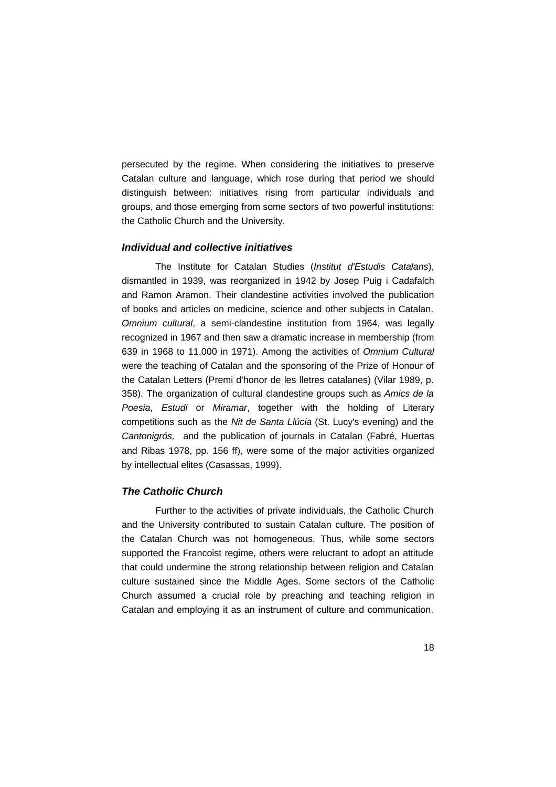persecuted by the regime. When considering the initiatives to preserve Catalan culture and language, which rose during that period we should distinguish between: initiatives rising from particular individuals and groups, and those emerging from some sectors of two powerful institutions: the Catholic Church and the University.

# *Individual and collective initiatives*

The Institute for Catalan Studies (*Institut d'Estudis Catalans*), dismantled in 1939, was reorganized in 1942 by Josep Puig i Cadafalch and Ramon Aramon. Their clandestine activities involved the publication of books and articles on medicine, science and other subjects in Catalan. *Omnium cultural*, a semi-clandestine institution from 1964, was legally recognized in 1967 and then saw a dramatic increase in membership (from 639 in 1968 to 11,000 in 1971). Among the activities of *Omnium Cultural* were the teaching of Catalan and the sponsoring of the Prize of Honour of the Catalan Letters (Premi d'honor de les lletres catalanes) (Vilar 1989, p. 358). The organization of cultural clandestine groups such as *Amics de la Poesia*, *Estudi* or *Miramar*, together with the holding of Literary competitions such as the *Nit de Santa Llúcia* (St. Lucy's evening) and the *Cantonigrós,* and the publication of journals in Catalan (Fabré, Huertas and Ribas 1978, pp. 156 ff), were some of the major activities organized by intellectual elites (Casassas, 1999).

### *The Catholic Church*

Further to the activities of private individuals, the Catholic Church and the University contributed to sustain Catalan culture. The position of the Catalan Church was not homogeneous. Thus, while some sectors supported the Francoist regime, others were reluctant to adopt an attitude that could undermine the strong relationship between religion and Catalan culture sustained since the Middle Ages. Some sectors of the Catholic Church assumed a crucial role by preaching and teaching religion in Catalan and employing it as an instrument of culture and communication.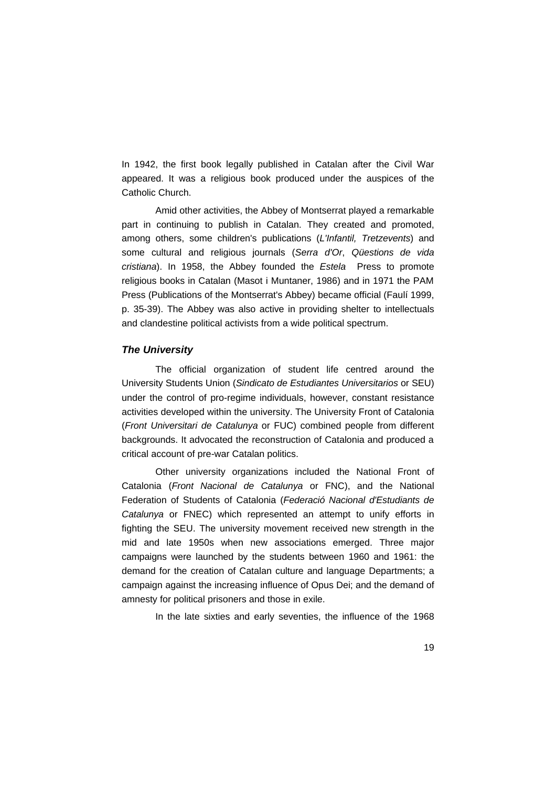In 1942, the first book legally published in Catalan after the Civil War appeared. It was a religious book produced under the auspices of the Catholic Church.

Amid other activities, the Abbey of Montserrat played a remarkable part in continuing to publish in Catalan. They created and promoted, among others, some children's publications (*L'Infantil, Tretzevents*) and some cultural and religious journals (*Serra d'Or*, *Qüestions de vida cristiana*). In 1958, the Abbey founded the *Estela* Press to promote religious books in Catalan (Masot i Muntaner, 1986) and in 1971 the PAM Press (Publications of the Montserrat's Abbey) became official (Faulí 1999, p. 35-39). The Abbey was also active in providing shelter to intellectuals and clandestine political activists from a wide political spectrum.

#### *The University*

The official organization of student life centred around the University Students Union (*Sindicato de Estudiantes Universitarios* or SEU) under the control of pro-regime individuals, however, constant resistance activities developed within the university. The University Front of Catalonia (*Front Universitari de Catalunya* or FUC) combined people from different backgrounds. It advocated the reconstruction of Catalonia and produced a critical account of pre-war Catalan politics.

Other university organizations included the National Front of Catalonia (*Front Nacional de Catalunya* or FNC), and the National Federation of Students of Catalonia (*Federació Nacional d'Estudiants de Catalunya* or FNEC) which represented an attempt to unify efforts in fighting the SEU. The university movement received new strength in the mid and late 1950s when new associations emerged. Three major campaigns were launched by the students between 1960 and 1961: the demand for the creation of Catalan culture and language Departments; a campaign against the increasing influence of Opus Dei; and the demand of amnesty for political prisoners and those in exile.

In the late sixties and early seventies, the influence of the 1968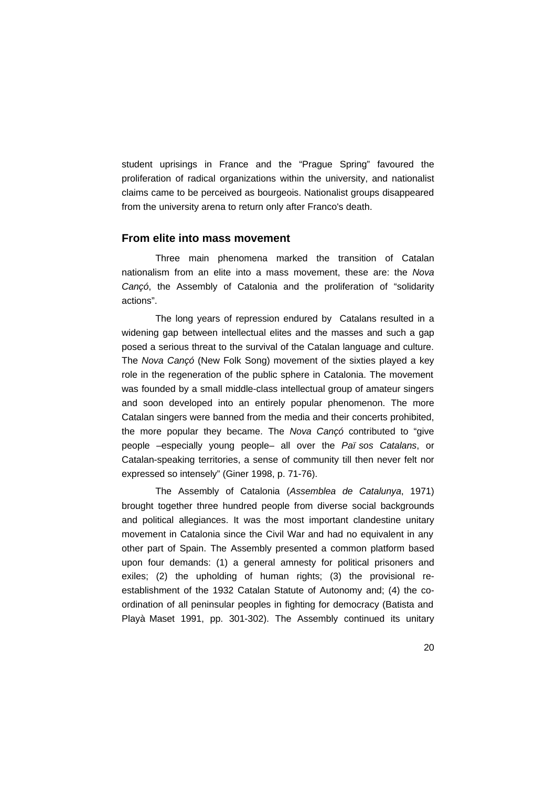student uprisings in France and the "Prague Spring" favoured the proliferation of radical organizations within the university, and nationalist claims came to be perceived as bourgeois. Nationalist groups disappeared from the university arena to return only after Franco's death.

#### **From elite into mass movement**

Three main phenomena marked the transition of Catalan nationalism from an elite into a mass movement, these are: the *Nova Cançó*, the Assembly of Catalonia and the proliferation of "solidarity actions".

The long years of repression endured by Catalans resulted in a widening gap between intellectual elites and the masses and such a gap posed a serious threat to the survival of the Catalan language and culture. The *Nova Cançó* (New Folk Song) movement of the sixties played a key role in the regeneration of the public sphere in Catalonia. The movement was founded by a small middle-class intellectual group of amateur singers and soon developed into an entirely popular phenomenon. The more Catalan singers were banned from the media and their concerts prohibited, the more popular they became. The *Nova Cançó* contributed to "give people –especially young people– all over the *Paï sos Catalans*, or Catalan-speaking territories, a sense of community till then never felt nor expressed so intensely" (Giner 1998, p. 71-76).

The Assembly of Catalonia (*Assemblea de Catalunya*, 1971) brought together three hundred people from diverse social backgrounds and political allegiances. It was the most important clandestine unitary movement in Catalonia since the Civil War and had no equivalent in any other part of Spain. The Assembly presented a common platform based upon four demands: (1) a general amnesty for political prisoners and exiles; (2) the upholding of human rights; (3) the provisional reestablishment of the 1932 Catalan Statute of Autonomy and; (4) the coordination of all peninsular peoples in fighting for democracy (Batista and Playà Maset 1991, pp. 301-302). The Assembly continued its unitary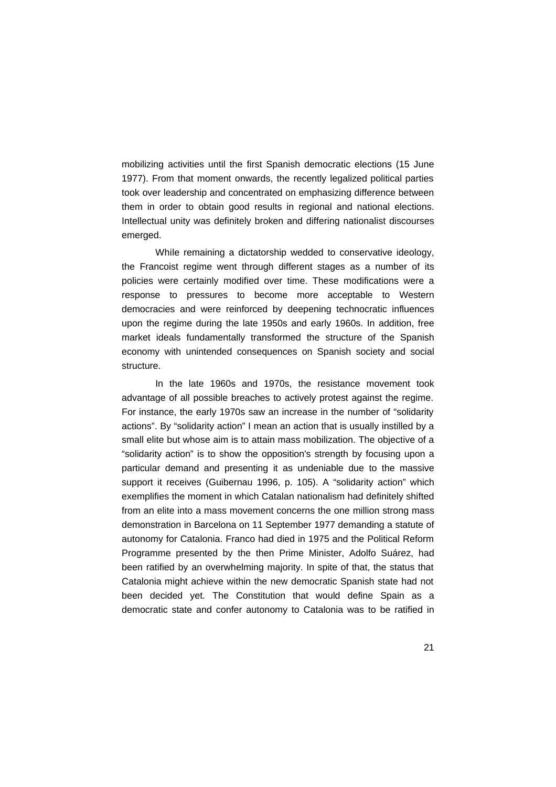mobilizing activities until the first Spanish democratic elections (15 June 1977). From that moment onwards, the recently legalized political parties took over leadership and concentrated on emphasizing difference between them in order to obtain good results in regional and national elections. Intellectual unity was definitely broken and differing nationalist discourses emerged.

While remaining a dictatorship wedded to conservative ideology, the Francoist regime went through different stages as a number of its policies were certainly modified over time. These modifications were a response to pressures to become more acceptable to Western democracies and were reinforced by deepening technocratic influences upon the regime during the late 1950s and early 1960s. In addition, free market ideals fundamentally transformed the structure of the Spanish economy with unintended consequences on Spanish society and social structure.

In the late 1960s and 1970s, the resistance movement took advantage of all possible breaches to actively protest against the regime. For instance, the early 1970s saw an increase in the number of "solidarity actions". By "solidarity action" I mean an action that is usually instilled by a small elite but whose aim is to attain mass mobilization. The objective of a "solidarity action" is to show the opposition's strength by focusing upon a particular demand and presenting it as undeniable due to the massive support it receives (Guibernau 1996, p. 105). A "solidarity action" which exemplifies the moment in which Catalan nationalism had definitely shifted from an elite into a mass movement concerns the one million strong mass demonstration in Barcelona on 11 September 1977 demanding a statute of autonomy for Catalonia. Franco had died in 1975 and the Political Reform Programme presented by the then Prime Minister, Adolfo Suárez, had been ratified by an overwhelming majority. In spite of that, the status that Catalonia might achieve within the new democratic Spanish state had not been decided yet. The Constitution that would define Spain as a democratic state and confer autonomy to Catalonia was to be ratified in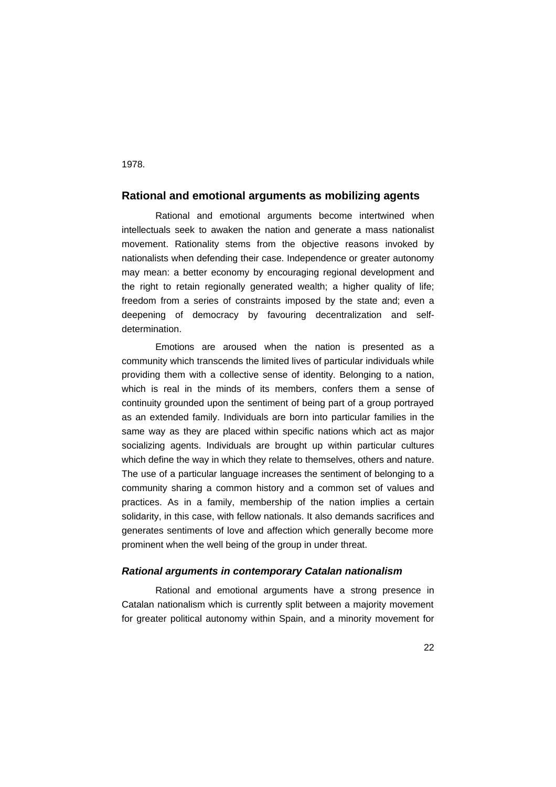# **Rational and emotional arguments as mobilizing agents**

Rational and emotional arguments become intertwined when intellectuals seek to awaken the nation and generate a mass nationalist movement. Rationality stems from the objective reasons invoked by nationalists when defending their case. Independence or greater autonomy may mean: a better economy by encouraging regional development and the right to retain regionally generated wealth; a higher quality of life; freedom from a series of constraints imposed by the state and; even a deepening of democracy by favouring decentralization and selfdetermination.

Emotions are aroused when the nation is presented as a community which transcends the limited lives of particular individuals while providing them with a collective sense of identity. Belonging to a nation, which is real in the minds of its members, confers them a sense of continuity grounded upon the sentiment of being part of a group portrayed as an extended family. Individuals are born into particular families in the same way as they are placed within specific nations which act as major socializing agents. Individuals are brought up within particular cultures which define the way in which they relate to themselves, others and nature. The use of a particular language increases the sentiment of belonging to a community sharing a common history and a common set of values and practices. As in a family, membership of the nation implies a certain solidarity, in this case, with fellow nationals. It also demands sacrifices and generates sentiments of love and affection which generally become more prominent when the well being of the group in under threat.

### *Rational arguments in contemporary Catalan nationalism*

Rational and emotional arguments have a strong presence in Catalan nationalism which is currently split between a majority movement for greater political autonomy within Spain, and a minority movement for

1978.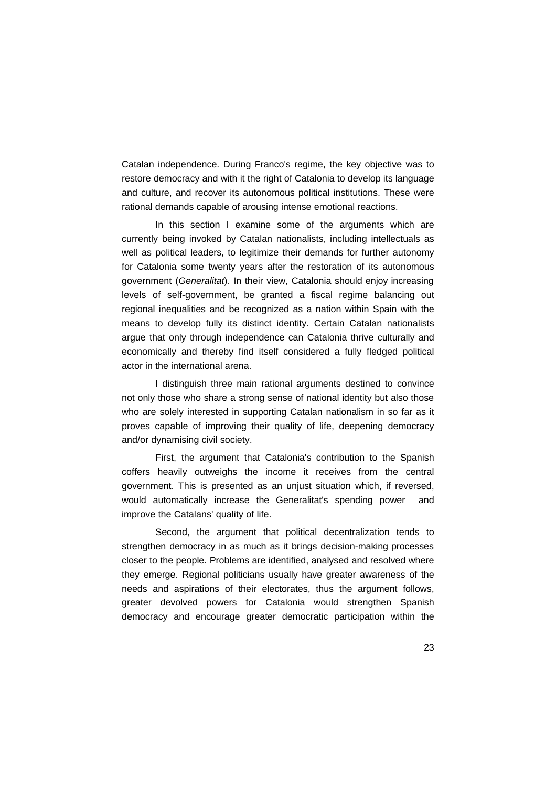Catalan independence. During Franco's regime, the key objective was to restore democracy and with it the right of Catalonia to develop its language and culture, and recover its autonomous political institutions. These were rational demands capable of arousing intense emotional reactions.

In this section I examine some of the arguments which are currently being invoked by Catalan nationalists, including intellectuals as well as political leaders, to legitimize their demands for further autonomy for Catalonia some twenty years after the restoration of its autonomous government (*Generalitat*). In their view, Catalonia should enjoy increasing levels of self-government, be granted a fiscal regime balancing out regional inequalities and be recognized as a nation within Spain with the means to develop fully its distinct identity. Certain Catalan nationalists argue that only through independence can Catalonia thrive culturally and economically and thereby find itself considered a fully fledged political actor in the international arena.

I distinguish three main rational arguments destined to convince not only those who share a strong sense of national identity but also those who are solely interested in supporting Catalan nationalism in so far as it proves capable of improving their quality of life, deepening democracy and/or dynamising civil society.

First, the argument that Catalonia's contribution to the Spanish coffers heavily outweighs the income it receives from the central government. This is presented as an unjust situation which, if reversed, would automatically increase the Generalitat's spending power and improve the Catalans' quality of life.

Second, the argument that political decentralization tends to strengthen democracy in as much as it brings decision-making processes closer to the people. Problems are identified, analysed and resolved where they emerge. Regional politicians usually have greater awareness of the needs and aspirations of their electorates, thus the argument follows, greater devolved powers for Catalonia would strengthen Spanish democracy and encourage greater democratic participation within the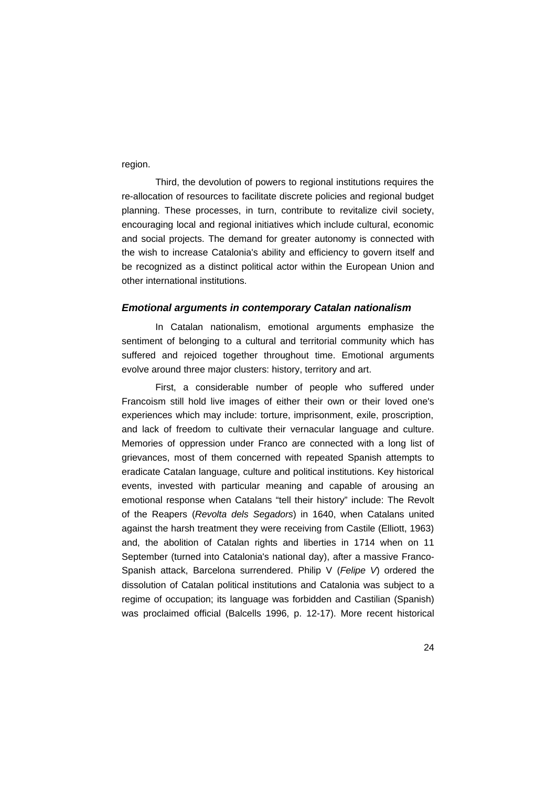region.

Third, the devolution of powers to regional institutions requires the re-allocation of resources to facilitate discrete policies and regional budget planning. These processes, in turn, contribute to revitalize civil society, encouraging local and regional initiatives which include cultural, economic and social projects. The demand for greater autonomy is connected with the wish to increase Catalonia's ability and efficiency to govern itself and be recognized as a distinct political actor within the European Union and other international institutions.

### *Emotional arguments in contemporary Catalan nationalism*

In Catalan nationalism, emotional arguments emphasize the sentiment of belonging to a cultural and territorial community which has suffered and rejoiced together throughout time. Emotional arguments evolve around three major clusters: history, territory and art.

First, a considerable number of people who suffered under Francoism still hold live images of either their own or their loved one's experiences which may include: torture, imprisonment, exile, proscription, and lack of freedom to cultivate their vernacular language and culture. Memories of oppression under Franco are connected with a long list of grievances, most of them concerned with repeated Spanish attempts to eradicate Catalan language, culture and political institutions. Key historical events, invested with particular meaning and capable of arousing an emotional response when Catalans "tell their history" include: The Revolt of the Reapers (*Revolta dels Segadors*) in 1640, when Catalans united against the harsh treatment they were receiving from Castile (Elliott, 1963) and, the abolition of Catalan rights and liberties in 1714 when on 11 September (turned into Catalonia's national day), after a massive Franco-Spanish attack, Barcelona surrendered. Philip V (*Felipe V*) ordered the dissolution of Catalan political institutions and Catalonia was subject to a regime of occupation; its language was forbidden and Castilian (Spanish) was proclaimed official (Balcells 1996, p. 12-17). More recent historical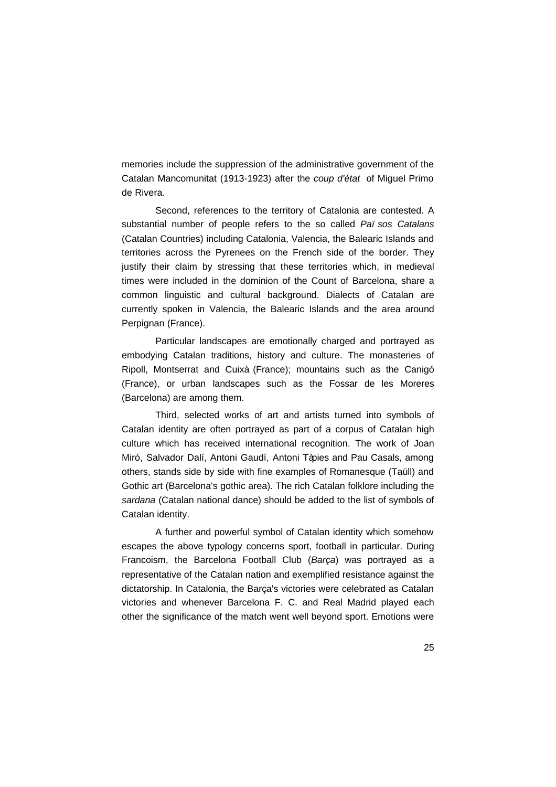memories include the suppression of the administrative government of the Catalan Mancomunitat (1913-1923) after the *coup d'état* of Miguel Primo de Rivera.

Second, references to the territory of Catalonia are contested. A substantial number of people refers to the so called *Paï sos Catalans* (Catalan Countries) including Catalonia, Valencia, the Balearic Islands and territories across the Pyrenees on the French side of the border. They justify their claim by stressing that these territories which, in medieval times were included in the dominion of the Count of Barcelona, share a common linguistic and cultural background. Dialects of Catalan are currently spoken in Valencia, the Balearic Islands and the area around Perpignan (France).

Particular landscapes are emotionally charged and portrayed as embodying Catalan traditions, history and culture. The monasteries of Ripoll, Montserrat and Cuixà (France); mountains such as the Canigó (France), or urban landscapes such as the Fossar de les Moreres (Barcelona) are among them.

Third, selected works of art and artists turned into symbols of Catalan identity are often portrayed as part of a corpus of Catalan high culture which has received international recognition. The work of Joan Miró, Salvador Dalí, Antoni Gaudí, Antoni Tàpies and Pau Casals, among others, stands side by side with fine examples of Romanesque (Taüll) and Gothic art (Barcelona's gothic area). The rich Catalan folklore including the *sardana* (Catalan national dance) should be added to the list of symbols of Catalan identity.

A further and powerful symbol of Catalan identity which somehow escapes the above typology concerns sport, football in particular. During Francoism, the Barcelona Football Club (*Barça*) was portrayed as a representative of the Catalan nation and exemplified resistance against the dictatorship. In Catalonia, the Barça's victories were celebrated as Catalan victories and whenever Barcelona F. C. and Real Madrid played each other the significance of the match went well beyond sport. Emotions were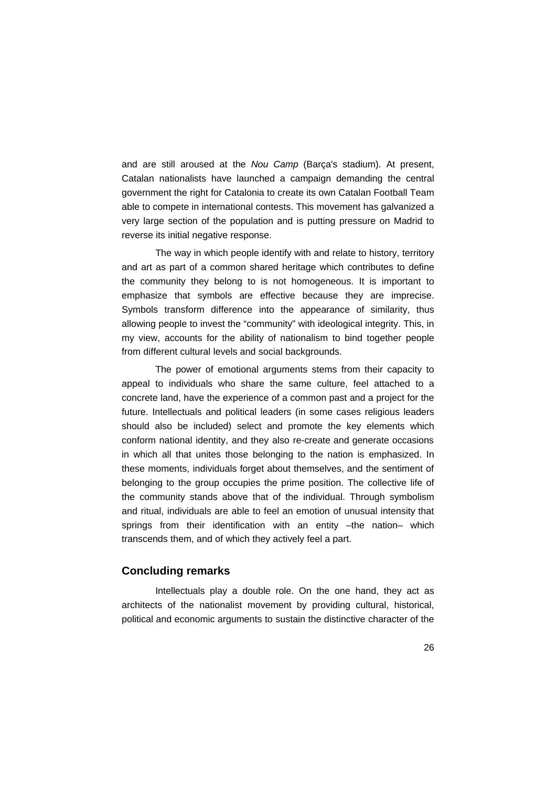and are still aroused at the *Nou Camp* (Barça's stadium). At present, Catalan nationalists have launched a campaign demanding the central government the right for Catalonia to create its own Catalan Football Team able to compete in international contests. This movement has galvanized a very large section of the population and is putting pressure on Madrid to reverse its initial negative response.

The way in which people identify with and relate to history, territory and art as part of a common shared heritage which contributes to define the community they belong to is not homogeneous. It is important to emphasize that symbols are effective because they are imprecise. Symbols transform difference into the appearance of similarity, thus allowing people to invest the "community" with ideological integrity. This, in my view, accounts for the ability of nationalism to bind together people from different cultural levels and social backgrounds.

The power of emotional arguments stems from their capacity to appeal to individuals who share the same culture, feel attached to a concrete land, have the experience of a common past and a project for the future. Intellectuals and political leaders (in some cases religious leaders should also be included) select and promote the key elements which conform national identity, and they also re-create and generate occasions in which all that unites those belonging to the nation is emphasized. In these moments, individuals forget about themselves, and the sentiment of belonging to the group occupies the prime position. The collective life of the community stands above that of the individual. Through symbolism and ritual, individuals are able to feel an emotion of unusual intensity that springs from their identification with an entity –the nation– which transcends them, and of which they actively feel a part.

# **Concluding remarks**

Intellectuals play a double role. On the one hand, they act as architects of the nationalist movement by providing cultural, historical, political and economic arguments to sustain the distinctive character of the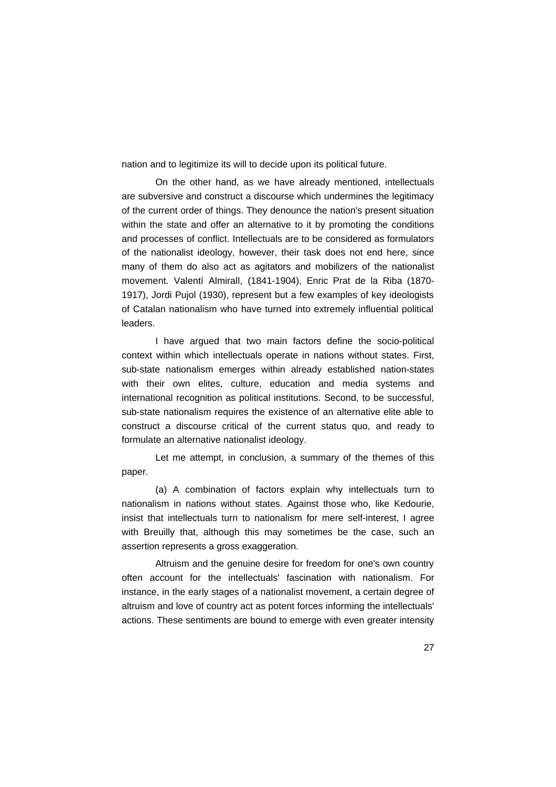nation and to legitimize its will to decide upon its political future.

On the other hand, as we have already mentioned, intellectuals are subversive and construct a discourse which undermines the legitimacy of the current order of things. They denounce the nation's present situation within the state and offer an alternative to it by promoting the conditions and processes of conflict. Intellectuals are to be considered as formulators of the nationalist ideology, however, their task does not end here, since many of them do also act as agitators and mobilizers of the nationalist movement. Valentí Almirall, (1841-1904), Enric Prat de la Riba (1870- 1917), Jordi Pujol (1930), represent but a few examples of key ideologists of Catalan nationalism who have turned into extremely influential political leaders.

I have argued that two main factors define the socio-political context within which intellectuals operate in nations without states. First, sub-state nationalism emerges within already established nation-states with their own elites, culture, education and media systems and international recognition as political institutions. Second, to be successful, sub-state nationalism requires the existence of an alternative elite able to construct a discourse critical of the current status quo, and ready to formulate an alternative nationalist ideology.

Let me attempt, in conclusion, a summary of the themes of this paper.

(a) A combination of factors explain why intellectuals turn to nationalism in nations without states. Against those who, like Kedourie, insist that intellectuals turn to nationalism for mere self-interest, I agree with Breuilly that, although this may sometimes be the case, such an assertion represents a gross exaggeration.

Altruism and the genuine desire for freedom for one's own country often account for the intellectuals' fascination with nationalism. For instance, in the early stages of a nationalist movement, a certain degree of altruism and love of country act as potent forces informing the intellectuals' actions. These sentiments are bound to emerge with even greater intensity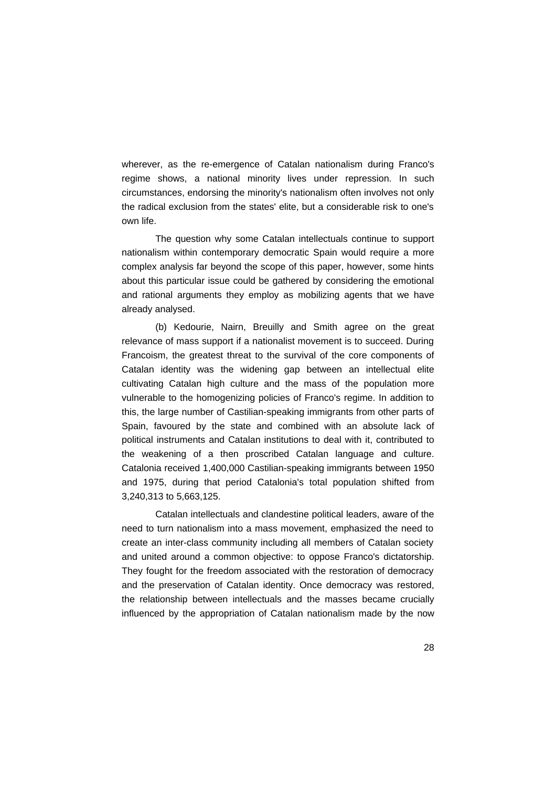wherever, as the re-emergence of Catalan nationalism during Franco's regime shows, a national minority lives under repression. In such circumstances, endorsing the minority's nationalism often involves not only the radical exclusion from the states' elite, but a considerable risk to one's own life.

The question why some Catalan intellectuals continue to support nationalism within contemporary democratic Spain would require a more complex analysis far beyond the scope of this paper, however, some hints about this particular issue could be gathered by considering the emotional and rational arguments they employ as mobilizing agents that we have already analysed.

(b) Kedourie, Nairn, Breuilly and Smith agree on the great relevance of mass support if a nationalist movement is to succeed. During Francoism, the greatest threat to the survival of the core components of Catalan identity was the widening gap between an intellectual elite cultivating Catalan high culture and the mass of the population more vulnerable to the homogenizing policies of Franco's regime. In addition to this, the large number of Castilian-speaking immigrants from other parts of Spain, favoured by the state and combined with an absolute lack of political instruments and Catalan institutions to deal with it, contributed to the weakening of a then proscribed Catalan language and culture. Catalonia received 1,400,000 Castilian-speaking immigrants between 1950 and 1975, during that period Catalonia's total population shifted from 3,240,313 to 5,663,125.

Catalan intellectuals and clandestine political leaders, aware of the need to turn nationalism into a mass movement, emphasized the need to create an inter-class community including all members of Catalan society and united around a common objective: to oppose Franco's dictatorship. They fought for the freedom associated with the restoration of democracy and the preservation of Catalan identity. Once democracy was restored, the relationship between intellectuals and the masses became crucially influenced by the appropriation of Catalan nationalism made by the now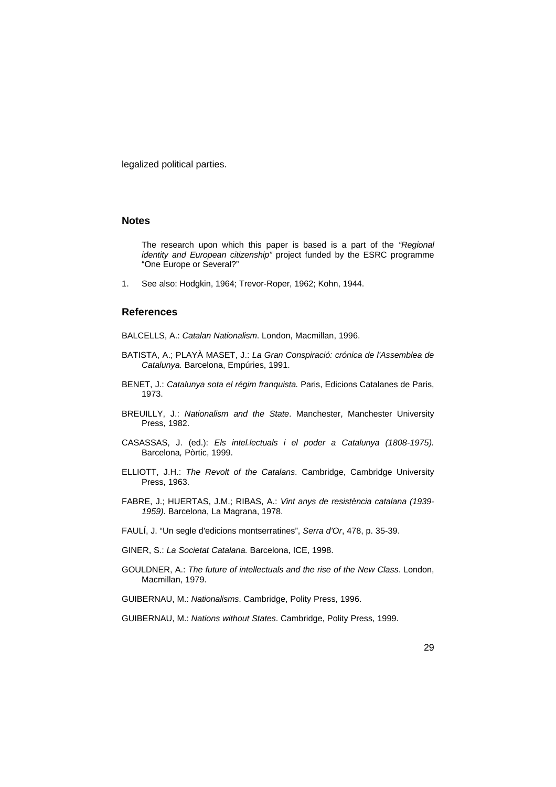legalized political parties.

### **Notes**

The research upon which this paper is based is a part of the *"Regional identity and European citizenship"* project funded by the ESRC programme "One Europe or Several?"

1. See also: Hodgkin, 1964; Trevor-Roper, 1962; Kohn, 1944.

### **References**

BALCELLS, A.: *Catalan Nationalism*. London, Macmillan, 1996.

- BATISTA, A.; PLAYÀ MASET, J.: *La Gran Conspiració: crónica de l'Assemblea de Catalunya.* Barcelona, Empúries, 1991.
- BENET, J.: *Catalunya sota el régim franquista.* Paris, Edicions Catalanes de Paris, 1973.
- BREUILLY, J.: *Nationalism and the State*. Manchester, Manchester University Press, 1982.
- CASASSAS, J. (ed.): *Els intel.lectuals i el poder a Catalunya (1808-1975).*  Barcelona*,* Pòrtic, 1999.
- ELLIOTT, J.H.: *The Revolt of the Catalans*. Cambridge, Cambridge University Press, 1963.
- FABRE, J.; HUERTAS, J.M.; RIBAS, A.: *Vint anys de resistència catalana (1939- 1959)*. Barcelona, La Magrana, 1978.
- FAULÍ, J. "Un segle d'edicions montserratines", *Serra d'Or*, 478, p. 35-39.
- GINER, S.: *La Societat Catalana.* Barcelona, ICE, 1998.
- GOULDNER, A.: *The future of intellectuals and the rise of the New Class*. London, Macmillan, 1979.
- GUIBERNAU, M.: *Nationalisms*. Cambridge, Polity Press, 1996.

GUIBERNAU, M.: *Nations without States*. Cambridge, Polity Press, 1999.